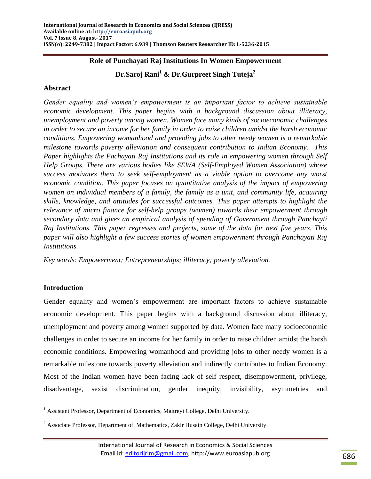# **Role of Punchayati Raj Institutions In Women Empowerment**

**Dr.Saroj Rani<sup>1</sup> & Dr.Gurpreet Singh Tuteja<sup>2</sup>**

# **Abstract**

*Gender equality and women"s empowerment is an important factor to achieve sustainable economic development. This paper begins with a background discussion about illiteracy, unemployment and poverty among women. Women face many kinds of socioeconomic challenges in order to secure an income for her family in order to raise children amidst the harsh economic conditions. Empowering womanhood and providing jobs to other needy women is a remarkable milestone towards poverty alleviation and consequent contribution to Indian Economy. This Paper highlights the Pachayati Raj Institutions and its role in empowering women through Self Help Groups. There are various bodies like SEWA (Self-Employed Women Association) whose success motivates them to seek self-employment as a viable option to overcome any worst economic condition. This paper focuses on quantitative analysis of the impact of empowering women on individual members of a family, the family as a unit, and community life, acquiring skills, knowledge, and attitudes for successful outcomes. This paper attempts to highlight the relevance of micro finance for self-help groups (women) towards their empowerment through secondary data and gives an empirical analysis of spending of Government through Panchayti Raj Institutions. This paper regresses and projects, some of the data for next five years. This paper will also highlight a few success stories of women empowerment through Panchayati Raj Institutions.*

*Key words: Empowerment; Entrepreneurships; illiteracy; poverty alleviation.* 

## **Introduction**

Gender equality and women"s empowerment are important factors to achieve sustainable economic development. This paper begins with a background discussion about illiteracy, unemployment and poverty among women supported by data. Women face many socioeconomic challenges in order to secure an income for her family in order to raise children amidst the harsh economic conditions. Empowering womanhood and providing jobs to other needy women is a remarkable milestone towards poverty alleviation and indirectly contributes to Indian Economy. Most of the Indian women have been facing lack of self respect, disempowerment, privilege, disadvantage, sexist discrimination, gender inequity, invisibility, asymmetries and

 $\overline{\phantom{a}}$ <sup>1</sup> Assistant Professor, Department of Economics, Maitreyi College, Delhi University.

 $2$  Associate Professor, Department of Mathematics, Zakir Husain College, Delhi University.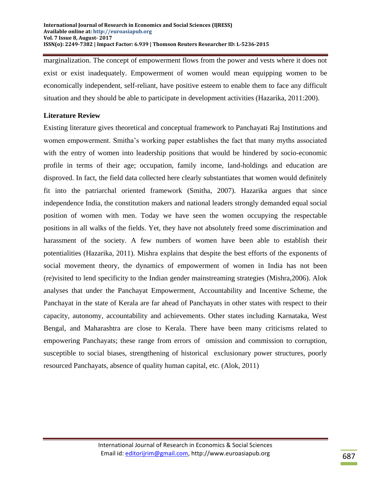marginalization. The concept of empowerment flows from the power and vests where it does not exist or exist inadequately. Empowerment of women would mean equipping women to be economically independent, self-reliant, have positive esteem to enable them to face any difficult situation and they should be able to participate in development activities (Hazarika, 2011:200).

# **Literature Review**

Existing literature gives theoretical and conceptual framework to Panchayati Raj Institutions and women empowerment. Smitha"s working paper establishes the fact that many myths associated with the entry of women into leadership positions that would be hindered by socio-economic profile in terms of their age; occupation, family income, land-holdings and education are disproved. In fact, the field data collected here clearly substantiates that women would definitely fit into the patriarchal oriented framework (Smitha, 2007). Hazarika argues that since independence India, the constitution makers and national leaders strongly demanded equal social position of women with men. Today we have seen the women occupying the respectable positions in all walks of the fields. Yet, they have not absolutely freed some discrimination and harassment of the society. A few numbers of women have been able to establish their potentialities (Hazarika, 2011). Mishra explains that despite the best efforts of the exponents of social movement theory, the dynamics of empowerment of women in India has not been (re)visited to lend specificity to the Indian gender mainstreaming strategies (Mishra,2006). Alok analyses that under the Panchayat Empowerment, Accountability and Incentive Scheme, the Panchayat in the state of Kerala are far ahead of Panchayats in other states with respect to their capacity, autonomy, accountability and achievements. Other states including Karnataka, West Bengal, and Maharashtra are close to Kerala. There have been many criticisms related to empowering Panchayats; these range from errors of omission and commission to corruption, susceptible to social biases, strengthening of historical exclusionary power structures, poorly resourced Panchayats, absence of quality human capital, etc. (Alok, 2011)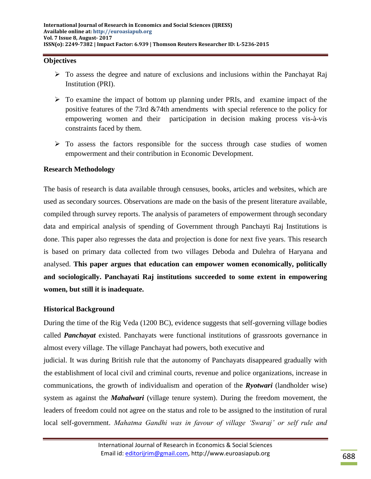#### **Objectives**

- $\triangleright$  To assess the degree and nature of exclusions and inclusions within the Panchayat Raj Institution (PRI).
- $\triangleright$  To examine the impact of bottom up planning under PRIs, and examine impact of the positive features of the 73rd &74th amendments with special reference to the policy for empowering women and their participation in decision making process vis-à-vis constraints faced by them.
- $\triangleright$  To assess the factors responsible for the success through case studies of women empowerment and their contribution in Economic Development.

### **Research Methodology**

The basis of research is data available through censuses, books, articles and websites, which are used as secondary sources. Observations are made on the basis of the present literature available, compiled through survey reports. The analysis of parameters of empowerment through secondary data and empirical analysis of spending of Government through Panchayti Raj Institutions is done. This paper also regresses the data and projection is done for next five years. This research is based on primary data collected from two villages Deboda and Dulehra of Haryana and analysed. **This paper argues that education can empower women economically, politically and sociologically. Panchayati Raj institutions succeeded to some extent in empowering women, but still it is inadequate.**

## **Historical Background**

During the time of the Rig Veda (1200 BC), evidence suggests that self-governing village bodies called *Panchayat* existed. Panchayats were functional institutions of grassroots governance in almost every village. The village Panchayat had powers, both executive and

judicial. It was during British rule that the autonomy of Panchayats disappeared gradually with the establishment of local civil and criminal courts, revenue and police organizations, increase in communications, the growth of individualism and operation of the *Ryotwari* (landholder wise) system as against the *Mahalwari* (village tenure system). During the freedom movement, the leaders of freedom could not agree on the status and role to be assigned to the institution of rural local self-government. *Mahatma Gandhi was in favour of village "Swaraj" or self rule and*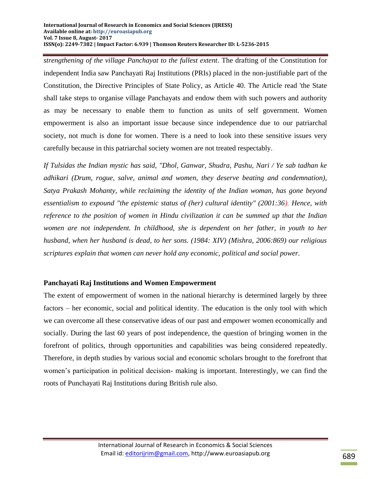*strengthening of the village Panchayat to the fullest extent*. The drafting of the Constitution for independent India saw Panchayati Raj Institutions (PRIs) placed in the non-justifiable part of the Constitution, the Directive Principles of State Policy, as Article 40. The Article read 'the State shall take steps to organise village Panchayats and endow them with such powers and authority as may be necessary to enable them to function as units of self government. Women empowerment is also an important issue because since independence due to our patriarchal society, not much is done for women. There is a need to look into these sensitive issues very carefully because in this patriarchal society women are not treated respectably.

*If Tulsidas the Indian mystic has said, "Dhol, Ganwar, Shudra, Pashu, Nari / Ye sab tadhan ke adhikari (Drum, rogue, salve, animal and women, they deserve beating and condemnation), Satya Prakash Mohanty, while reclaiming the identity of the Indian woman, has gone beyond essentialism to expound "the epistemic status of (her) cultural identity" (2001:36). Hence, with reference to the position of women in Hindu civilization it can be summed up that the Indian women are not independent. In childhood, she is dependent on her father, in youth to her husband, when her husband is dead, to her sons. (1984: XIV) (Mishra, 2006:869) our religious scriptures explain that women can never hold any economic, political and social power.*

# **Panchayati Raj Institutions and Women Empowerment**

The extent of empowerment of women in the national hierarchy is determined largely by three factors – her economic, social and political identity. The education is the only tool with which we can overcome all these conservative ideas of our past and empower women economically and socially. During the last 60 years of post independence, the question of bringing women in the forefront of politics, through opportunities and capabilities was being considered repeatedly. Therefore, in depth studies by various social and economic scholars brought to the forefront that women"s participation in political decision- making is important. Interestingly, we can find the roots of Punchayati Raj Institutions during British rule also.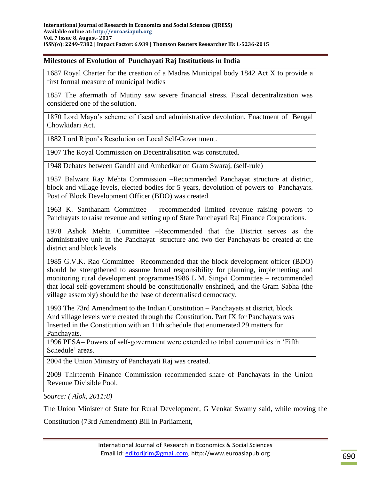#### **Milestones of Evolution of Punchayati Raj Institutions in India**

1687 Royal Charter for the creation of a Madras Municipal body 1842 Act X to provide a first formal measure of municipal bodies

1857 The aftermath of Mutiny saw severe financial stress. Fiscal decentralization was considered one of the solution.

1870 Lord Mayo"s scheme of fiscal and administrative devolution. Enactment of Bengal Chowkidari Act.

1882 Lord Ripon"s Resolution on Local Self-Government.

1907 The Royal Commission on Decentralisation was constituted.

1948 Debates between Gandhi and Ambedkar on Gram Swaraj, (self-rule)

1957 Balwant Ray Mehta Commission –Recommended Panchayat structure at district, block and village levels, elected bodies for 5 years, devolution of powers to Panchayats. Post of Block Development Officer (BDO) was created.

1963 K. Santhanam Committee – recommended limited revenue raising powers to Panchayats to raise revenue and setting up of State Panchayati Raj Finance Corporations.

1978 Ashok Mehta Committee –Recommended that the District serves as the administrative unit in the Panchayat structure and two tier Panchayats be created at the district and block levels.

1985 G.V.K. Rao Committee –Recommended that the block development officer (BDO) should be strengthened to assume broad responsibility for planning, implementing and monitoring rural development programmes1986 L.M. Singvi Committee – recommended that local self-government should be constitutionally enshrined, and the Gram Sabha (the village assembly) should be the base of decentralised democracy.

1993 The 73rd Amendment to the Indian Constitution – Panchayats at district, block And village levels were created through the Constitution. Part IX for Panchayats was Inserted in the Constitution with an 11th schedule that enumerated 29 matters for Panchayats.

1996 PESA– Powers of self-government were extended to tribal communities in "Fifth Schedule' areas.

2004 the Union Ministry of Panchayati Raj was created.

2009 Thirteenth Finance Commission recommended share of Panchayats in the Union Revenue Divisible Pool.

*Source: ( Alok, 2011:8)*

The Union Minister of State for Rural Development, G Venkat Swamy said, while moving the Constitution (73rd Amendment) Bill in Parliament,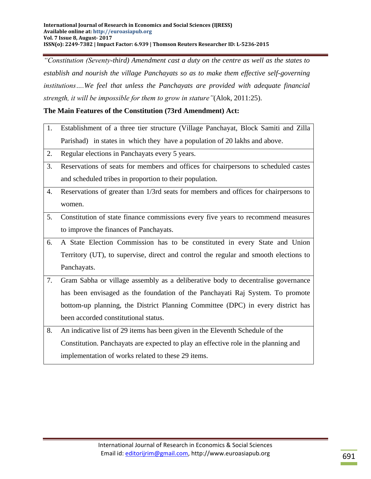*"Constitution (Seventy-third) Amendment cast a duty on the centre as well as the states to establish and nourish the village Panchayats so as to make them effective self-governing institutions….We feel that unless the Panchayats are provided with adequate financial strength, it will be impossible for them to grow in stature"*(Alok, 2011:25).

# **The Main Features of the Constitution (73rd Amendment) Act:**

- 1. Establishment of a three tier structure (Village Panchayat, Block Samiti and Zilla Parishad) in states in which they have a population of 20 lakhs and above.
- 2. Regular elections in Panchayats every 5 years.
- 3. Reservations of seats for members and offices for chairpersons to scheduled castes and scheduled tribes in proportion to their population.
- 4. Reservations of greater than 1/3rd seats for members and offices for chairpersons to women.
- 5. Constitution of state finance commissions every five years to recommend measures to improve the finances of Panchayats.
- 6. A State Election Commission has to be constituted in every State and Union Territory (UT), to supervise, direct and control the regular and smooth elections to Panchayats.
- 7. Gram Sabha or village assembly as a deliberative body to decentralise governance has been envisaged as the foundation of the Panchayati Raj System. To promote bottom-up planning, the District Planning Committee (DPC) in every district has been accorded constitutional status.
- 8. An indicative list of 29 items has been given in the Eleventh Schedule of the Constitution. Panchayats are expected to play an effective role in the planning and implementation of works related to these 29 items.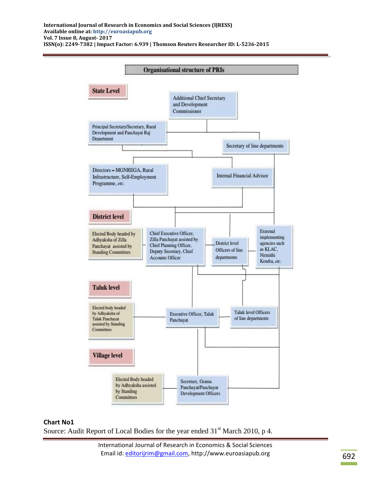**International Journal of Research in Economics and Social Sciences (IJRESS) Available online at: http://euroasiapub.org Vol. 7 Issue 8, August- 2017 ISSN(o): 2249-7382 | Impact Factor: 6.939 | Thomson Reuters Researcher ID: L-5236-2015**



#### **Chart No1**

Source: Audit Report of Local Bodies for the year ended  $31<sup>st</sup>$  March 2010, p 4.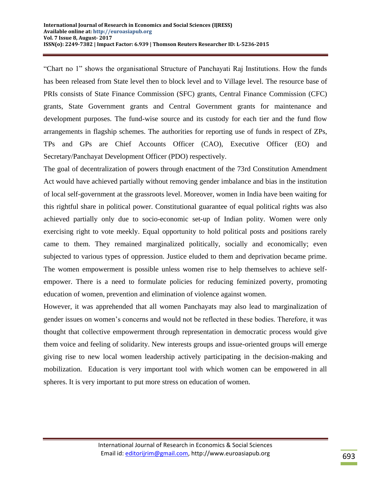"Chart no 1" shows the organisational Structure of Panchayati Raj Institutions. How the funds has been released from State level then to block level and to Village level. The resource base of PRIs consists of State Finance Commission (SFC) grants, Central Finance Commission (CFC) grants, State Government grants and Central Government grants for maintenance and development purposes. The fund-wise source and its custody for each tier and the fund flow arrangements in flagship schemes. The authorities for reporting use of funds in respect of ZPs, TPs and GPs are Chief Accounts Officer (CAO), Executive Officer (EO) and Secretary/Panchayat Development Officer (PDO) respectively.

The goal of decentralization of powers through enactment of the 73rd Constitution Amendment Act would have achieved partially without removing gender imbalance and bias in the institution of local self-government at the grassroots level. Moreover, women in India have been waiting for this rightful share in political power. Constitutional guarantee of equal political rights was also achieved partially only due to socio-economic set-up of Indian polity. Women were only exercising right to vote meekly. Equal opportunity to hold political posts and positions rarely came to them. They remained marginalized politically, socially and economically; even subjected to various types of oppression. Justice eluded to them and deprivation became prime. The women empowerment is possible unless women rise to help themselves to achieve selfempower. There is a need to formulate policies for reducing feminized poverty, promoting education of women, prevention and elimination of violence against women.

However, it was apprehended that all women Panchayats may also lead to marginalization of gender issues on women"s concerns and would not be reflected in these bodies. Therefore, it was thought that collective empowerment through representation in democratic process would give them voice and feeling of solidarity. New interests groups and issue-oriented groups will emerge giving rise to new local women leadership actively participating in the decision-making and mobilization. Education is very important tool with which women can be empowered in all spheres. It is very important to put more stress on education of women.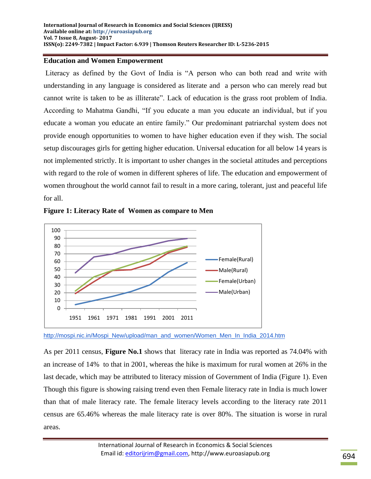### **Education and Women Empowerment**

Literacy as defined by the Govt of India is "A person who can both read and write with understanding in any language is considered as literate and a person who can merely read but cannot write is taken to be as illiterate". Lack of education is the grass root problem of India. According to Mahatma Gandhi, "If you educate a man you educate an individual, but if you educate a woman you educate an entire family." Our predominant patriarchal system does not provide enough opportunities to women to have higher education even if they wish. The social setup discourages girls for getting higher education. Universal education for all below 14 years is not implemented strictly. It is important to usher changes in the societal attitudes and perceptions with regard to the role of women in different spheres of life. The education and empowerment of women throughout the world cannot fail to result in a more caring, tolerant, just and peaceful life for all.





[http://mospi.nic.in/Mospi\\_New/upload/man\\_and\\_women/Women\\_Men\\_In\\_India\\_2014.htm](http://mospi.nic.in/Mospi_New/upload/man_and_women/Women_Men_In_India_2014.htm)

As per 2011 census, **Figure No.1** shows that literacy rate in India was reported as 74.04% with an increase of 14% to that in 2001, whereas the hike is maximum for rural women at 26% in the last decade, which may be attributed to literacy mission of Government of India (Figure 1). Even Though this figure is showing raising trend even then Female literacy rate in India is much lower than that of male literacy rate. The female literacy levels according to the literacy rate 2011 census are 65.46% whereas the male literacy rate is over 80%. The situation is worse in rural areas.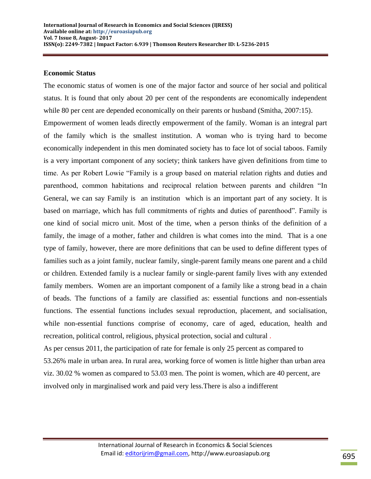#### **Economic Status**

The economic status of women is one of the major factor and source of her social and political status. It is found that only about 20 per cent of the respondents are economically independent while 80 per cent are depended economically on their parents or husband (Smitha, 2007:15). Empowerment of women leads directly empowerment of the family. Woman is an integral part of the family which is the smallest institution. A woman who is trying hard to become economically independent in this men dominated society has to face lot of social taboos. Family is a very important component of any society; think tankers have given definitions from time to time. As per Robert Lowie "Family is a group based on material relation rights and duties and parenthood, common habitations and reciprocal relation between parents and children "In General, we can say Family is an institution which is an important part of any society. It is based on marriage, which has full commitments of rights and duties of parenthood". Family is one kind of social micro unit. Most of the time, when a person thinks of the definition of a family, the image of a mother, father and children is what comes into the mind. That is a one type of family, however, there are more definitions that can be used to define different types of families such as a joint family, nuclear family, single-parent family means one parent and a child or children. Extended family is a nuclear family or single-parent family lives with any extended family members. Women are an important component of a family like a strong bead in a chain of beads. The functions of a family are classified as: essential functions and non-essentials functions. The essential functions includes sexual reproduction, placement, and socialisation, while non-essential functions comprise of economy, care of aged, education, health and recreation, political control, religious, physical protection, social and cultural . As per census 2011, the participation of rate for female is only 25 percent as compared to 53.26% male in urban area. In rural area, working force of women is little higher than urban area viz. 30.02 % women as compared to 53.03 men. The point is women, which are 40 percent, are

involved only in marginalised work and paid very less.There is also a indifferent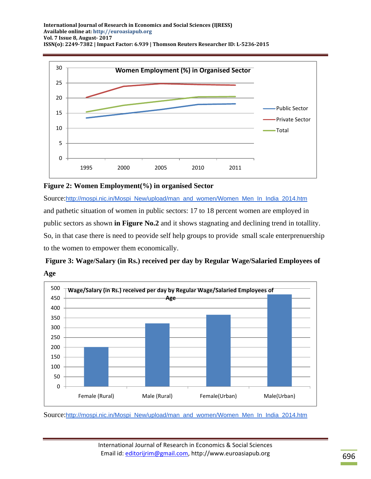



Source:[http://mospi.nic.in/Mospi\\_New/upload/man\\_and\\_women/Women\\_Men\\_In\\_India\\_2014.htm](http://mospi.nic.in/Mospi_New/upload/man_and_women/Women_Men_In_India_2014.htm) and pathetic situation of women in public sectors: 17 to 18 percent women are employed in public sectors as shown **in Figure No.2** and it shows stagnating and declining trend in totallity. So, in that case there is need to peovide self help groups to provide small scale enterprenuership to the women to empower them economically.





Source:[http://mospi.nic.in/Mospi\\_New/upload/man\\_and\\_women/Women\\_Men\\_In\\_India\\_2014.htm](http://mospi.nic.in/Mospi_New/upload/man_and_women/Women_Men_In_India_2014.htm)

International Journal of Research in Economics & Social Sciences Email id: [editorijrim@gmail.com,](mailto:editorijrim@gmail.com) http://www.euroasiapub.org 696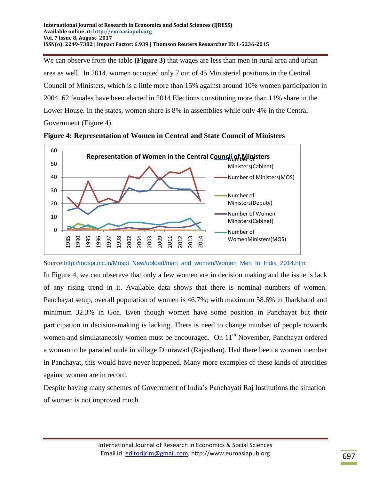We can observe from the table **(Figure 3)** that wages are less than men in rural area and urban area as well. In 2014, women occupied only 7 out of 45 Ministerial positions in the Central Council of Ministers, which is a little more than 15% against around 10% women participation in 2004. 62 females have been elected in 2014 Elections constituting more than 11% share in the Lower House. In the states, women share is 8% in assemblies while only 4% in the Central Government (Figure 4).



**Figure 4: Representation of Women in Central and State Council of Ministers**

Source:[http://mospi.nic.in/Mospi\\_New/upload/man\\_and\\_women/Women\\_Men\\_In\\_India\\_2014.htm](http://mospi.nic.in/Mospi_New/upload/man_and_women/Women_Men_In_India_2014.htm)

In Figure 4, we can obsereve that only a few women are in decision making and the issue is lack of any rising trend in it. Available data shows that there is nominal numbers of women. Panchayat setup, overall population of women is 46.7%; with maximum 58.6% in Jharkhand and minimum 32.3% in Goa. Even though women have some position in Panchayat but their participation in decision-making is lacking. There is need to change mindset of people towards women and simulataneosly women must be encouraged. On  $11<sup>th</sup>$  November, Panchayat ordered a woman to be paraded nude in village Dhurawad (Rajasthan). Had there been a women member in Panchayat, this would have never happened. Many more examples of these kinds of atrocities against women are in record.

Despite having many schemes of Government of India"s Panchayati Raj Institutions the situation of women is not improved much.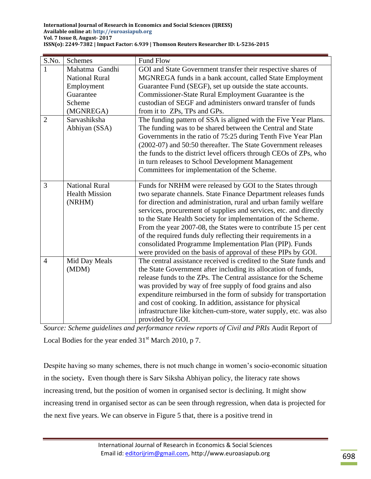| S.No.          | Schemes               | <b>Fund Flow</b>                                                   |
|----------------|-----------------------|--------------------------------------------------------------------|
| 1              | Mahatma Gandhi        | GOI and State Government transfer their respective shares of       |
|                | <b>National Rural</b> | MGNREGA funds in a bank account, called State Employment           |
|                | Employment            | Guarantee Fund (SEGF), set up outside the state accounts.          |
|                | Guarantee             | Commissioner-State Rural Employment Guarantee is the               |
|                | Scheme                | custodian of SEGF and administers onward transfer of funds         |
|                | (MGNREGA)             | from it to ZPs, TPs and GPs.                                       |
| $\overline{2}$ | Sarvashiksha          | The funding pattern of SSA is aligned with the Five Year Plans.    |
|                | Abhiyan (SSA)         | The funding was to be shared between the Central and State         |
|                |                       | Governments in the ratio of 75:25 during Tenth Five Year Plan      |
|                |                       | (2002-07) and 50:50 thereafter. The State Government releases      |
|                |                       | the funds to the district level officers through CEOs of ZPs, who  |
|                |                       | in turn releases to School Development Management                  |
|                |                       | Committees for implementation of the Scheme.                       |
| 3              | <b>National Rural</b> | Funds for NRHM were released by GOI to the States through          |
|                | <b>Health Mission</b> | two separate channels. State Finance Department releases funds     |
|                | (NRHM)                | for direction and administration, rural and urban family welfare   |
|                |                       | services, procurement of supplies and services, etc. and directly  |
|                |                       | to the State Health Society for implementation of the Scheme.      |
|                |                       | From the year 2007-08, the States were to contribute 15 per cent   |
|                |                       | of the required funds duly reflecting their requirements in a      |
|                |                       | consolidated Programme Implementation Plan (PIP). Funds            |
|                |                       | were provided on the basis of approval of these PIPs by GOI.       |
| $\overline{4}$ | Mid Day Meals         | The central assistance received is credited to the State funds and |
|                | (MDM)                 | the State Government after including its allocation of funds,      |
|                |                       | release funds to the ZPs. The Central assistance for the Scheme    |
|                |                       | was provided by way of free supply of food grains and also         |
|                |                       | expenditure reimbursed in the form of subsidy for transportation   |
|                |                       | and cost of cooking. In addition, assistance for physical          |
|                |                       | infrastructure like kitchen-cum-store, water supply, etc. was also |
|                |                       | provided by GOI.                                                   |

*Source: Scheme guidelines and performance review reports of Civil and PRIs* Audit Report of Local Bodies for the year ended  $31<sup>st</sup>$  March 2010, p 7.

Despite having so many schemes, there is not much change in women"s socio-economic situation in the society**.** Even though there is Sarv Siksha Abhiyan policy, the literacy rate shows increasing trend, but the position of women in organised sector is declining. It might show increasing trend in organised sector as can be seen through regression, when data is projected for the next five years. We can observe in Figure 5 that, there is a positive trend in

> International Journal of Research in Economics & Social Sciences Email id: [editorijrim@gmail.com,](mailto:editorijrim@gmail.com) http://www.euroasiapub.org 698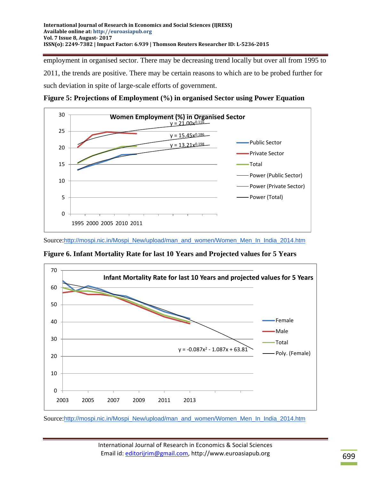employment in organised sector. There may be decreasing trend locally but over all from 1995 to 2011, the trends are positive. There may be certain reasons to which are to be probed further for such deviation in spite of large-scale efforts of government.





Source:[http://mospi.nic.in/Mospi\\_New/upload/man\\_and\\_women/Women\\_Men\\_In\\_India\\_2014.htm](http://mospi.nic.in/Mospi_New/upload/man_and_women/Women_Men_In_India_2014.htm)

**Figure 6. Infant Mortality Rate for last 10 Years and Projected values for 5 Years**



Source:[http://mospi.nic.in/Mospi\\_New/upload/man\\_and\\_women/Women\\_Men\\_In\\_India\\_2014.htm](http://mospi.nic.in/Mospi_New/upload/man_and_women/Women_Men_In_India_2014.htm)

International Journal of Research in Economics & Social Sciences Email id: [editorijrim@gmail.com,](mailto:editorijrim@gmail.com) http://www.euroasiapub.org 699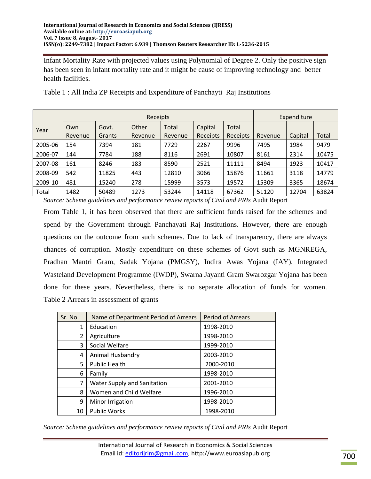Infant Mortality Rate with projected values using Polynomial of Degree 2. Only the positive sign has been seen in infant mortality rate and it might be cause of improving technology and better health facilities.

|         | Receipts       |                 |                  |                  |                     |                   | Expenditure |         |       |
|---------|----------------|-----------------|------------------|------------------|---------------------|-------------------|-------------|---------|-------|
| Year    | Own<br>Revenue | Govt.<br>Grants | Other<br>Revenue | Total<br>Revenue | Capital<br>Receipts | Total<br>Receipts | Revenue     | Capital | Total |
| 2005-06 | 154            | 7394            | 181              | 7729             | 2267                | 9996              | 7495        | 1984    | 9479  |
| 2006-07 | 144            | 7784            | 188              | 8116             | 2691                | 10807             | 8161        | 2314    | 10475 |
| 2007-08 | 161            | 8246            | 183              | 8590             | 2521                | 11111             | 8494        | 1923    | 10417 |
| 2008-09 | 542            | 11825           | 443              | 12810            | 3066                | 15876             | 11661       | 3118    | 14779 |
| 2009-10 | 481            | 15240           | 278              | 15999            | 3573                | 19572             | 15309       | 3365    | 18674 |
| Total   | 1482           | 50489           | 1273             | 53244            | 14118               | 67362             | 51120       | 12704   | 63824 |

Table 1 : All India ZP Receipts and Expenditure of Panchayti Raj Institutions

*Source: Scheme guidelines and performance review reports of Civil and PRIs* Audit Report

From Table 1, it has been observed that there are sufficient funds raised for the schemes and spend by the Government through Panchayati Raj Institutions. However, there are enough questions on the outcome from such schemes. Due to lack of transparency, there are always chances of corruption. Mostly expenditure on these schemes of Govt such as MGNREGA, Pradhan Mantri Gram, Sadak Yojana (PMGSY), Indira Awas Yojana (IAY), Integrated Wasteland Development Programme (IWDP), Swarna Jayanti Gram Swarozgar Yojana has been done for these years. Nevertheless, there is no separate allocation of funds for women. Table 2 Arrears in assessment of grants

| Sr. No. | Name of Department Period of Arrears | <b>Period of Arrears</b> |  |  |
|---------|--------------------------------------|--------------------------|--|--|
| 1       | Education                            | 1998-2010                |  |  |
| 2       | Agriculture                          | 1998-2010                |  |  |
| 3       | Social Welfare                       | 1999-2010                |  |  |
| 4       | Animal Husbandry                     | 2003-2010                |  |  |
| 5       | <b>Public Health</b>                 | 2000-2010                |  |  |
| 6       | Family                               | 1998-2010                |  |  |
| 7       | <b>Water Supply and Sanitation</b>   | 2001-2010                |  |  |
| 8       | Women and Child Welfare              | 1996-2010                |  |  |
| 9       | Minor Irrigation                     | 1998-2010                |  |  |
| 10      | <b>Public Works</b>                  | 1998-2010                |  |  |

*Source: Scheme guidelines and performance review reports of Civil and PRIs* Audit Report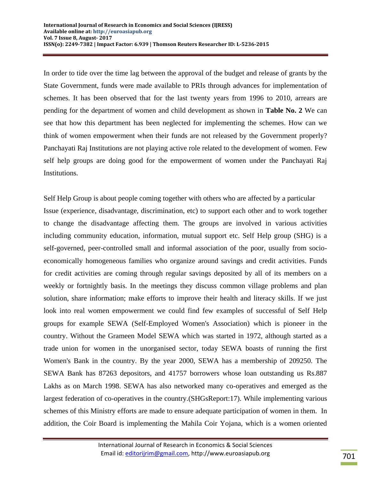In order to tide over the time lag between the approval of the budget and release of grants by the State Government, funds were made available to PRIs through advances for implementation of schemes. It has been observed that for the last twenty years from 1996 to 2010, arrears are pending for the department of women and child development as shown in **Table No. 2** We can see that how this department has been neglected for implementing the schemes. How can we think of women empowerment when their funds are not released by the Government properly? Panchayati Raj Institutions are not playing active role related to the development of women. Few self help groups are doing good for the empowerment of women under the Panchayati Raj Institutions.

Self Help Group is about people coming together with others who are affected by a particular Issue (experience, disadvantage, discrimination, etc) to support each other and to work together to change the disadvantage affecting them. The groups are involved in various activities including community education, information, mutual support etc. Self Help group (SHG) is a self-governed, peer-controlled small and informal association of the poor, usually from socioeconomically homogeneous families who organize around savings and credit activities. Funds for credit activities are coming through regular savings deposited by all of its members on a weekly or fortnightly basis. In the meetings they discuss common village problems and plan solution, share information; make efforts to improve their health and literacy skills. If we just look into real women empowerment we could find few examples of successful of Self Help groups for example SEWA (Self-Employed Women's Association) which is pioneer in the country. Without the Grameen Model SEWA which was started in 1972, although started as a trade union for women in the unorganised sector, today SEWA boasts of running the first Women's Bank in the country. By the year 2000, SEWA has a membership of 209250. The SEWA Bank has 87263 depositors, and 41757 borrowers whose loan outstanding us Rs.887 Lakhs as on March 1998. SEWA has also networked many co-operatives and emerged as the largest federation of co-operatives in the country.(SHGsReport:17). While implementing various schemes of this Ministry efforts are made to ensure adequate participation of women in them. In addition, the Coir Board is implementing the Mahila Coir Yojana, which is a women oriented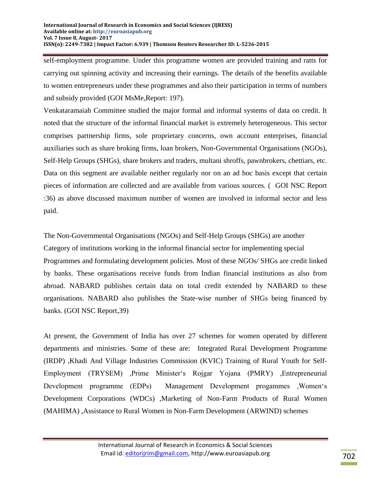self-employment programme. Under this programme women are provided training and ratts for carrying out spinning activity and increasing their earnings. The details of the benefits available to women entrepreneurs under these programmes and also their participation in terms of numbers and subsidy provided (GOI MsMe,Report: 197).

Venkataramaiah Committee studied the major formal and informal systems of data on credit. It noted that the structure of the informal financial market is extremely heterogeneous. This sector comprises partnership firms, sole proprietary concerns, own account enterprises, financial auxiliaries such as share broking firms, loan brokers, Non-Governmental Organisations (NGOs), Self-Help Groups (SHGs), share brokers and traders, multani shroffs, pawnbrokers, chettiars, etc. Data on this segment are available neither regularly nor on an ad hoc basis except that certain pieces of information are collected and are available from various sources. ( GOI NSC Report :36) as above discussed maximum number of women are involved in informal sector and less paid.

The Non-Governmental Organisations (NGOs) and Self-Help Groups (SHGs) are another Category of institutions working in the informal financial sector for implementing special Programmes and formulating development policies. Most of these NGOs/ SHGs are credit linked by banks. These organisations receive funds from Indian financial institutions as also from abroad. NABARD publishes certain data on total credit extended by NABARD to these organisations. NABARD also publishes the State-wise number of SHGs being financed by banks. (GOI NSC Report,39)

At present, the Government of India has over 27 schemes for women operated by different departments and ministries. Some of these are: Integrated Rural Development Programme (IRDP) ,Khadi And Village Industries Commission (KVIC) Training of Rural Youth for Self-Employment (TRYSEM) ,Prime Minister's Rojgar Yojana (PMRY) ,Entrepreneurial Development programme (EDPs) Management Development progammes ,Women"s Development Corporations (WDCs) ,Marketing of Non-Farm Products of Rural Women (MAHIMA) ,Assistance to Rural Women in Non-Farm Development (ARWIND) schemes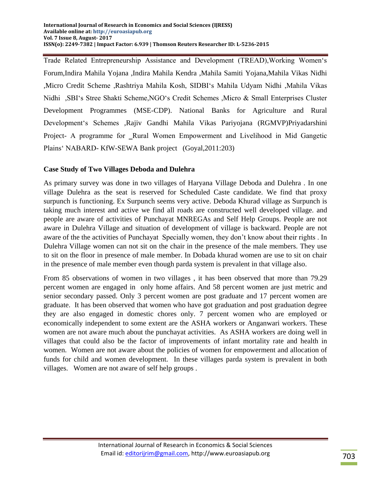Trade Related Entrepreneurship Assistance and Development (TREAD),Working Women"s Forum,Indira Mahila Yojana ,Indira Mahila Kendra ,Mahila Samiti Yojana,Mahila Vikas Nidhi ,Micro Credit Scheme ,Rashtriya Mahila Kosh, SIDBI"s Mahila Udyam Nidhi ,Mahila Vikas Nidhi ,SBI"s Stree Shakti Scheme,NGO"s Credit Schemes ,Micro & Small Enterprises Cluster Development Programmes (MSE-CDP). National Banks for Agriculture and Rural Development"s Schemes ,Rajiv Gandhi Mahila Vikas Pariyojana (RGMVP)Priyadarshini Project- A programme for \_Rural Women Empowerment and Livelihood in Mid Gangetic Plains" NABARD- KfW-SEWA Bank project (Goyal,2011:203)

# **Case Study of Two Villages Deboda and Dulehra**

As primary survey was done in two villages of Haryana Village Deboda and Dulehra . In one village Dulehra as the seat is reserved for Scheduled Caste candidate. We find that proxy surpunch is functioning. Ex Surpunch seems very active. Deboda Khurad village as Surpunch is taking much interest and active we find all roads are constructed well developed village. and people are aware of activities of Punchayat MNREGAs and Self Help Groups. People are not aware in Dulehra Village and situation of development of village is backward. People are not aware of the the activities of Punchayat Specially women, they don"t know about their rights . In Dulehra Village women can not sit on the chair in the presence of the male members. They use to sit on the floor in presence of male member. In Dobada khurad women are use to sit on chair in the presence of male member even though parda system is prevalent in that village also.

From 85 observations of women in two villages , it has been observed that more than 79.29 percent women are engaged in only home affairs. And 58 percent women are just metric and senior secondary passed. Only 3 percent women are post graduate and 17 percent women are graduate. It has been observed that women who have got graduation and post graduation degree they are also engaged in domestic chores only. 7 percent women who are employed or economically independent to some extent are the ASHA workers or Anganwari workers. These women are not aware much about the punchayat activities. As ASHA workers are doing well in villages that could also be the factor of improvements of infant mortality rate and health in women. Women are not aware about the policies of women for empowerment and allocation of funds for child and women development. In these villages parda system is prevalent in both villages. Women are not aware of self help groups .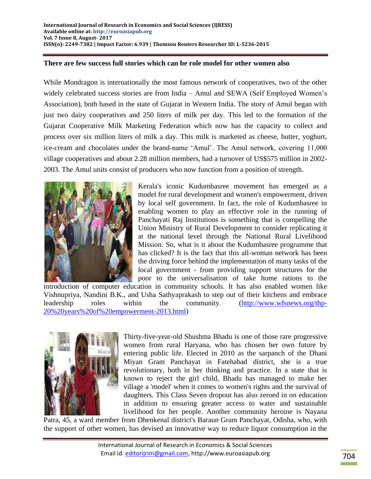### **There are few success full stories which can be role model for other women also**

While Mondragon is internationally the most famous network of cooperatives, two of the other widely celebrated success stories are from India – Amul and SEWA (Self Employed Women's Association), both based in the state of Gujarat in Western India. The story of Amul began with just two dairy cooperatives and 250 liters of milk per day. This led to the formation of the Gujarat Cooperative Milk Marketing Federation which now has the capacity to collect and process over six million liters of milk a day. This milk is marketed as cheese, butter, yoghurt, ice-cream and chocolates under the brand-name "Amul". The Amul network, covering 11,000 village cooperatives and about 2.28 million members, had a turnover of US\$575 million in 2002- 2003. The Amul units consist of producers who now function from a position of strength.



Kerala's iconic Kudumbasree movement has emerged as a model for rural development and women's empowerment, driven by local self government. In fact, the role of Kudumbasree in enabling women to play an effective role in the running of Panchayati Raj Institutions is something that is compelling the Union Ministry of Rural Development to consider replicating it at the national level through the National Rural Livelihood Mission. So, what is it about the Kudumbasree programme that has clicked? It is the fact that this all-woman network has been the driving force behind the implementation of many tasks of the local government - from providing support structures for the poor to the universalisation of take home rations to the

introduction of computer education in community schools. It has also enabled women like Vishnupriya, Nandini B.K., and Usha Sathyaprakash to step out of their kitchens and embrace leadership roles within the community. [\(http://www.wfsnews.org/thp-](http://www.wfsnews.org/thp-20%20years%20of%20empowerment-2013.html)[20%20years%20of%20empowerment-2013.html\)](http://www.wfsnews.org/thp-20%20years%20of%20empowerment-2013.html)



Thirty-five-year-old Shushma Bhadu is one of those rare progressive women from rural Haryana, who has chosen her own future by entering public life. Elected in 2010 as the sarpanch of the Dhani Miyan Gram Panchayat in Fatehabad district, she is a true revolutionary, both in her thinking and practice. In a state that is known to reject the girl child, Bhadu has managed to make her village a 'model' when it comes to women's rights and the survival of daughters. This Class Seven dropout has also zeroed in on education in addition to ensuring greater access to water and sustainable livelihood for her people. Another community heroine is Nayana

Patra, 45, a ward member from Dhenkenal district's Baraun Gram Panchayat, Odisha, who, with the support of other women, has devised an innovative way to reduce liquor consumption in the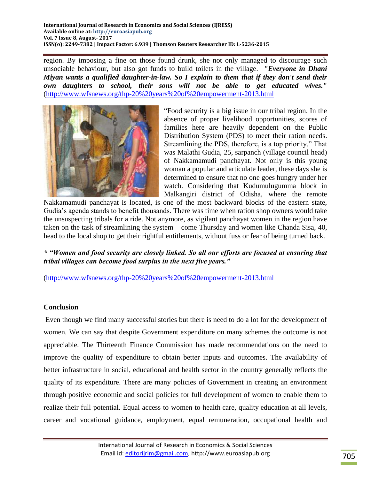**International Journal of Research in Economics and Social Sciences (IJRESS) Available online at: http://euroasiapub.org Vol. 7 Issue 8, August- 2017 ISSN(o): 2249-7382 | Impact Factor: 6.939 | Thomson Reuters Researcher ID: L-5236-2015**

region. By imposing a fine on those found drunk, she not only managed to discourage such unsociable behaviour, but also got funds to build toilets in the village. *"Everyone in Dhani Miyan wants a qualified daughter-in-law. So I explain to them that if they don't send their own daughters to school, their sons will not be able to get educated wives."* [\(http://www.wfsnews.org/thp-20%20years%20of%20empowerment-2013.html](http://www.wfsnews.org/thp-20%20years%20of%20empowerment-2013.html)



"Food security is a big issue in our tribal region. In the absence of proper livelihood opportunities, scores of families here are heavily dependent on the Public Distribution System (PDS) to meet their ration needs. Streamlining the PDS, therefore, is a top priority." That was Malathi Gudia, 25, sarpanch (village council head) of Nakkamamudi panchayat. Not only is this young woman a popular and articulate leader, these days she is determined to ensure that no one goes hungry under her watch. Considering that Kudumulugumma block in Malkangiri district of Odisha, where the remote

Nakkamamudi panchayat is located, is one of the most backward blocks of the eastern state, Gudia"s agenda stands to benefit thousands. There was time when ration shop owners would take the unsuspecting tribals for a ride. Not anymore, as vigilant panchayat women in the region have taken on the task of streamlining the system – come Thursday and women like Chanda Sisa, 40, head to the local shop to get their rightful entitlements, without fuss or fear of being turned back.

*\* "Women and food security are closely linked. So all our efforts are focused at ensuring that tribal villages can become food surplus in the next five years."*

[\(http://www.wfsnews.org/thp-20%20years%20of%20empowerment-2013.html](http://www.wfsnews.org/thp-20%20years%20of%20empowerment-2013.html)

## **Conclusion**

Even though we find many successful stories but there is need to do a lot for the development of women. We can say that despite Government expenditure on many schemes the outcome is not appreciable. The Thirteenth Finance Commission has made recommendations on the need to improve the quality of expenditure to obtain better inputs and outcomes. The availability of better infrastructure in social, educational and health sector in the country generally reflects the quality of its expenditure. There are many policies of Government in creating an environment through positive economic and social policies for full development of women to enable them to realize their full potential. Equal access to women to health care, quality education at all levels, career and vocational guidance, employment, equal remuneration, occupational health and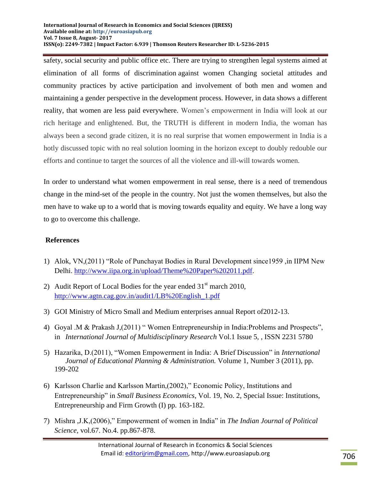safety, social security and public office etc. There are trying to strengthen legal systems aimed at elimination of all forms of discrimination against women Changing societal attitudes and community practices by active participation and involvement of both men and women and maintaining a gender perspective in the development process. However, in data shows a different reality, that women are less paid everywhere. Women"s empowerment in India will look at our rich heritage and enlightened. But, the TRUTH is different in modern India, the woman has always been a second grade citizen, it is no real surprise that women empowerment in India is a hotly discussed topic with no real solution looming in the horizon except to doubly redouble our efforts and continue to target the sources of all the violence and ill-will towards women.

In order to understand what women empowerment in real sense, there is a need of tremendous change in the mind-set of the people in the country. Not just the women themselves, but also the men have to wake up to a world that is moving towards equality and equity. We have a long way to go to overcome this challenge.

# **References**

- 1) Alok, VN,(2011) "Role of Punchayat Bodies in Rural Development since1959 ,in IIPM New Delhi. [http://www.iipa.org.in/upload/Theme%20Paper%202011.pdf.](http://www.iipa.org.in/upload/Theme%20Paper%202011.pdf)
- 2) Audit Report of Local Bodies for the year ended  $31<sup>st</sup>$  march 2010, [http://www.agtn.cag.gov.in/audit1/LB%20English\\_1.pdf](http://www.agtn.cag.gov.in/audit1/LB%20English_1.pdf)
- 3) GOI Ministry of Micro Small and Medium enterprises annual Report of2012-13.
- 4) Goyal .M & Prakash J,(2011) " Women Entrepreneurship in India:Problems and Prospects", in *International Journal of Multidisciplinary Research* Vol.1 Issue 5, , ISSN 2231 5780
- 5) Hazarika, D.(2011), "Women Empowerment in India: A Brief Discussion" in *International Journal of Educational Planning & Administration.* Volume 1, Number 3 (2011), pp. 199-202
- 6) Karlsson Charlie and Karlsson Martin,(2002)," Economic Policy, Institutions and Entrepreneurship" in *Small Business Economics*, Vol. 19, No. 2, Special Issue: Institutions, Entrepreneurship and Firm Growth (I) pp. 163-182.
- 7) Mishra ,J.K,(2006)," Empowerment of women in India" in *The Indian Journal of Political Science,* vol.67. No.4. pp.867-878.